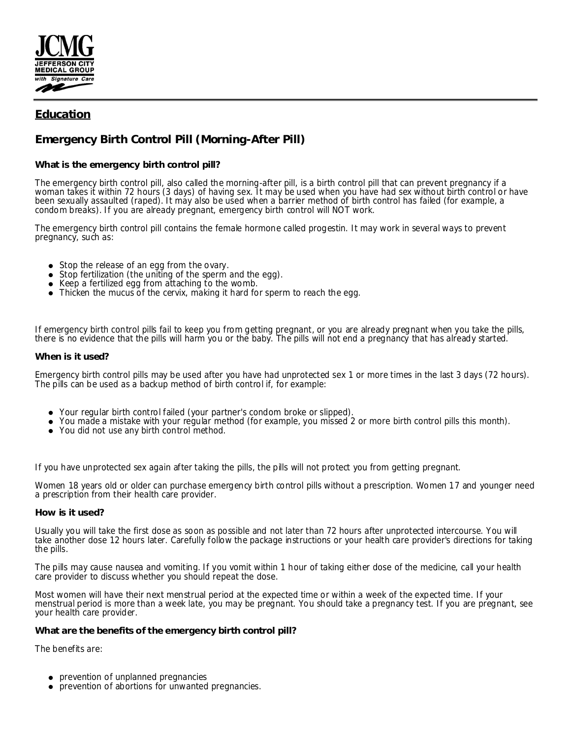

## **Education**

# **Emergency Birth Control Pill (Morning-After Pill)**

### **What is the emergency birth control pill?**

The emergency birth control pill, also called the morning-after pill, is a birth control pill that can prevent pregnancy if a woman takes it within 72 hours (3 days) of having sex. It may be used when you have had sex without birth control or have been sexually assaulted (raped). It may also be used when a barrier method of birth control has failed (for example, a condom breaks). If you are already pregnant, emergency birth control will NOT work.

The emergency birth control pill contains the female hormone called progestin. It may work in several ways to prevent pregnancy, such as:

- Stop the release of an egg from the ovary.
- Stop fertilization (the uniting of the sperm and the egg).  $\bullet$
- Keep a fertilized egg from attaching to the womb.
- Thicken the mucus of the cervix, making it hard for sperm to reach the egg.

If emergency birth control pills fail to keep you from getting pregnant, or you are already pregnant when you take the pills, there is no evidence that the pills will harm you or the baby. The pills will not end a pregnancy that has already started.

#### **When is it used?**

Emergency birth control pills may be used after you have had unprotected sex 1 or more times in the last 3 days (72 hours). The pills can be used as a backup method of birth control if, for example:

- Your regular birth control failed (your partner's condom broke or slipped).
- You made a mistake with your regular method (for example, you missed 2 or more birth control pills this month).
- You did not use any birth control method.

If you have unprotected sex again after taking the pills, the pills will not protect you from getting pregnant.

Women 18 years old or older can purchase emergency birth control pills without a prescription. Women 17 and younger need a prescription from their health care provider.

#### **How is it used?**

Usually you will take the first dose as soon as possible and not later than 72 hours after unprotected intercourse. You will take another dose 12 hours later. Carefully follow the package instructions or your health care provider's directions for taking the pills.

The pills may cause nausea and vomiting. If you vomit within 1 hour of taking either dose of the medicine, call your health care provider to discuss whether you should repeat the dose.

Most women will have their next menstrual period at the expected time or within a week of the expected time. If your menstrual period is more than a week late, you may be pregnant. You should take a pregnancy test. If you are pregnant, see your health care provider.

**What are the benefits of the emergency birth control pill?**

The benefits are:

- prevention of unplanned pregnancies
- prevention of abortions for unwanted pregnancies.